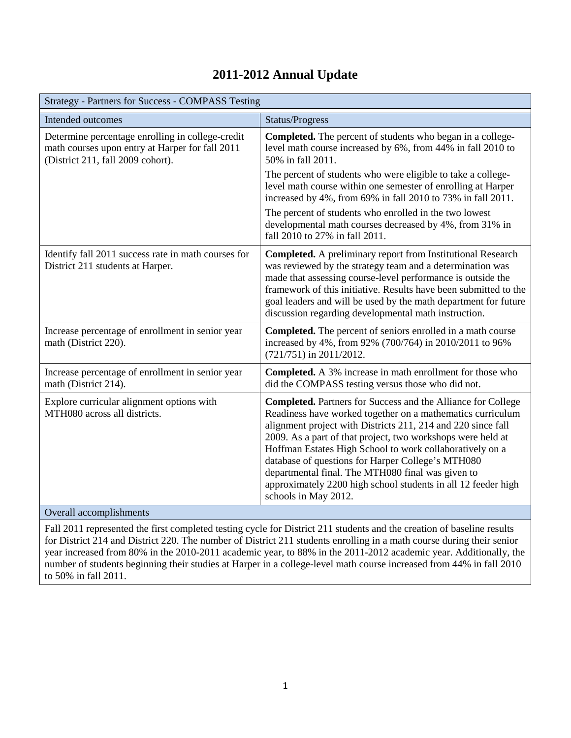## **2011-2012 Annual Update**

| <b>Strategy - Partners for Success - COMPASS Testing</b>                                                                                 |                                                                                                                                                                                                                                                                                                                                                                                                                                                                                                                                 |
|------------------------------------------------------------------------------------------------------------------------------------------|---------------------------------------------------------------------------------------------------------------------------------------------------------------------------------------------------------------------------------------------------------------------------------------------------------------------------------------------------------------------------------------------------------------------------------------------------------------------------------------------------------------------------------|
| Intended outcomes                                                                                                                        | Status/Progress                                                                                                                                                                                                                                                                                                                                                                                                                                                                                                                 |
| Determine percentage enrolling in college-credit<br>math courses upon entry at Harper for fall 2011<br>(District 211, fall 2009 cohort). | Completed. The percent of students who began in a college-<br>level math course increased by 6%, from 44% in fall 2010 to<br>50% in fall 2011.                                                                                                                                                                                                                                                                                                                                                                                  |
|                                                                                                                                          | The percent of students who were eligible to take a college-<br>level math course within one semester of enrolling at Harper<br>increased by 4%, from 69% in fall 2010 to 73% in fall 2011.                                                                                                                                                                                                                                                                                                                                     |
|                                                                                                                                          | The percent of students who enrolled in the two lowest<br>developmental math courses decreased by 4%, from 31% in<br>fall 2010 to 27% in fall 2011.                                                                                                                                                                                                                                                                                                                                                                             |
| Identify fall 2011 success rate in math courses for<br>District 211 students at Harper.                                                  | <b>Completed.</b> A preliminary report from Institutional Research<br>was reviewed by the strategy team and a determination was<br>made that assessing course-level performance is outside the<br>framework of this initiative. Results have been submitted to the<br>goal leaders and will be used by the math department for future<br>discussion regarding developmental math instruction.                                                                                                                                   |
| Increase percentage of enrollment in senior year<br>math (District 220).                                                                 | Completed. The percent of seniors enrolled in a math course<br>increased by 4%, from 92% (700/764) in 2010/2011 to 96%<br>(721/751) in 2011/2012.                                                                                                                                                                                                                                                                                                                                                                               |
| Increase percentage of enrollment in senior year<br>math (District 214).                                                                 | <b>Completed.</b> A 3% increase in math enrollment for those who<br>did the COMPASS testing versus those who did not.                                                                                                                                                                                                                                                                                                                                                                                                           |
| Explore curricular alignment options with<br>MTH080 across all districts.                                                                | <b>Completed.</b> Partners for Success and the Alliance for College<br>Readiness have worked together on a mathematics curriculum<br>alignment project with Districts 211, 214 and 220 since fall<br>2009. As a part of that project, two workshops were held at<br>Hoffman Estates High School to work collaboratively on a<br>database of questions for Harper College's MTH080<br>departmental final. The MTH080 final was given to<br>approximately 2200 high school students in all 12 feeder high<br>schools in May 2012. |
| Overall accomplishments                                                                                                                  |                                                                                                                                                                                                                                                                                                                                                                                                                                                                                                                                 |

Fall 2011 represented the first completed testing cycle for District 211 students and the creation of baseline results for District 214 and District 220. The number of District 211 students enrolling in a math course during their senior year increased from 80% in the 2010-2011 academic year, to 88% in the 2011-2012 academic year. Additionally, the number of students beginning their studies at Harper in a college-level math course increased from 44% in fall 2010 to 50% in fall 2011.